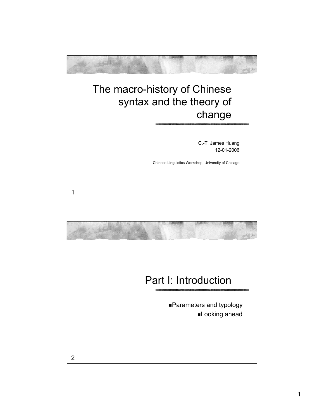

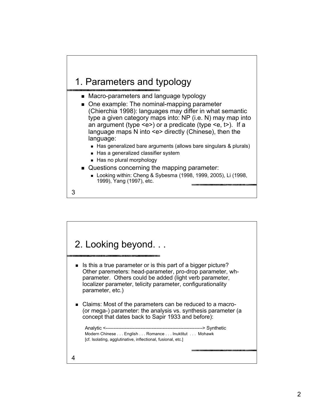## 1. Parameters and typology

- **Macro-parameters and language typology**
- One example: The nominal-mapping parameter (Chierchia 1998): languages may differ in what semantic type a given category maps into: NP (i.e. N) may map into an argument (type  $\leq e$ ) or a predicate (type  $\leq e$ , t >). If a language maps N into <e> directly (Chinese), then the language:
	- Has generalized bare arguments (allows bare singulars & plurals)
	- Has a generalized classifier system
	- Has no plural morphology
- Questions concerning the mapping parameter:
	- Looking within: Cheng & Sybesma (1998, 1999, 2005), Li (1998, 1999), Yang (1997), etc.
- 3

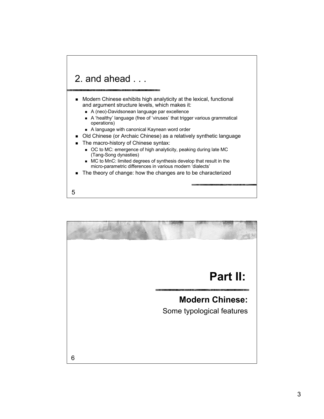

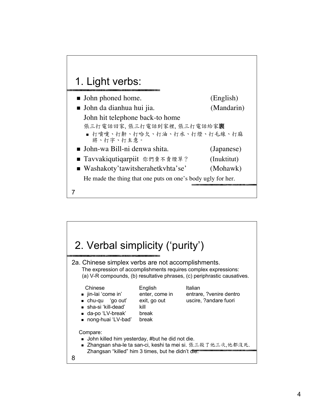

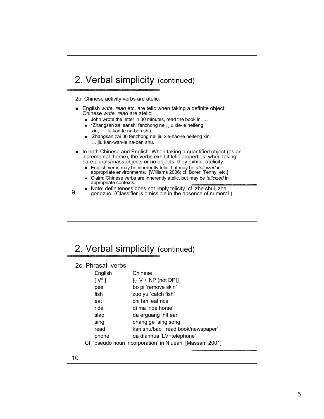#### 2. Verbal simplicity (continued)

2b. Chinese activity verbs are atelic:

- English *write, read* etc. are telic when taking a definite object; Chinese *write, read* are atelic:
	- John wrote the letter in 30 minutes, read the book in ...
	- \*Zhangsan zai sanshi fenzhong nei, jiu xie-le neifeng xin, … jiu kan-le na-ben shu.
	- Zhangsan zai 30 fenzhong nei jiu xie-hao-le neifeng xin, … jiu kan-wan-le na-ben shu.
- In both Chinese and English: When taking a quantified object (as an incremental theme), the verbs exhibit telic properties; when taking bare plurals/mass objects or no objects, they exhibit atelicity.
	- English verbs may be inherently telic, but may be *atelicized* in appropriate environments. [Williams 2006; cf. Borer, Tenny, etc.]
	- Claim: Chinese verbs are inherently atelic, but may be *telicized* in appropriate contexts.
	- Note: definiteness does not imply telicity, cf. zhe shui, zhe
	- gongzuo. (Classifier is omissible in the absence of numeral.)

| 2. Verbal simplicity (continued)                         |                                                                              |  |
|----------------------------------------------------------|------------------------------------------------------------------------------|--|
| 2c. Phrasal verbs                                        |                                                                              |  |
| English                                                  | Chinese                                                                      |  |
| $\lceil V^0 \rceil$                                      | $\left[\begin{smallmatrix} 0 \\ V \end{smallmatrix}\right]$ V + NP (not DP)] |  |
| peel                                                     | bo pi 'remove skin'                                                          |  |
| fish                                                     | zuo yu 'catch fish'                                                          |  |
| eat                                                      | chi fan 'eat rice'                                                           |  |
| ride.                                                    | qi ma 'ride horse'                                                           |  |
| slap                                                     | da erguang 'hit ear'                                                         |  |
| sing                                                     | chang ge 'sing song'                                                         |  |
| read                                                     | kan shu/bao 'read book/newspaper'                                            |  |
| phone                                                    | da dianhua 'LV+telephone'                                                    |  |
| Cf. 'pseudo noun incorporation' in Niuean. [Massam 2001] |                                                                              |  |
|                                                          |                                                                              |  |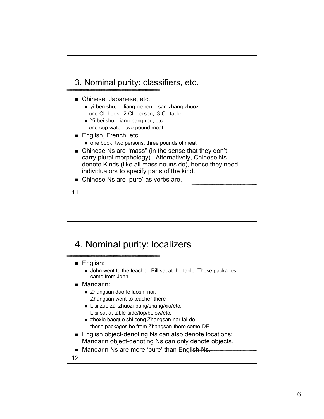

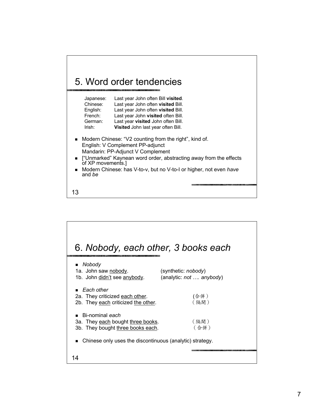

| Japanese: | Last year John often Bill visited. |
|-----------|------------------------------------|
| Chinese:  | Last year John often visited Bill. |
| English:  | Last year John often visited Bill. |
| French:   | Last year John visited often Bill. |
| German:   | Last year visited John often Bill. |
| Irish:    | Visited John last year often Bill. |
|           |                                    |

- Modern Chinese: "V2 counting from the right", kind of. English: V Complement PP-adjunct Mandarin: PP-Adjunct V Complement
- **I** ["Unmarked" Kaynean word order, abstracting away from the effects of XP movements.]
- Modern Chinese: has V-to-v, but no V-to-I or higher, not even *have* and *be*
- 13

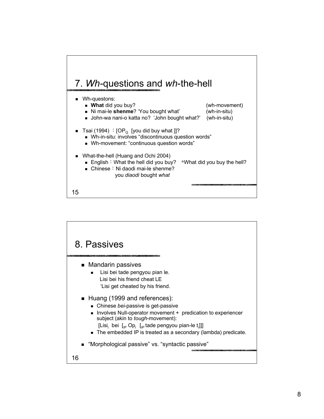

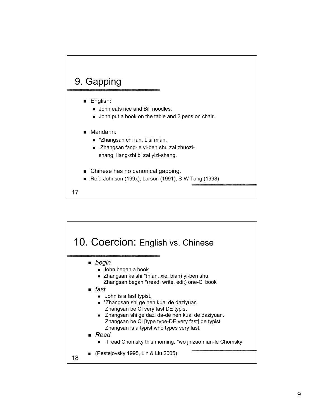### 9. Gapping

- **English:** 
	- **John eats rice and Bill noodles.**
	- **John put a book on the table and 2 pens on chair.**
- **Mandarin:** 
	- **\*** \*Zhangsan chi fan, Lisi mian.
	- Zhangsan fang-le yi-ben shu zai zhuozishang, liang-zhi bi zai yizi-shang.
- Chinese has no canonical gapping.
- Ref.: Johnson (199x), Larson (1991), S-W Tang (1998)
- 17

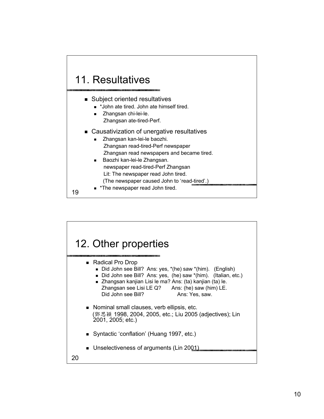

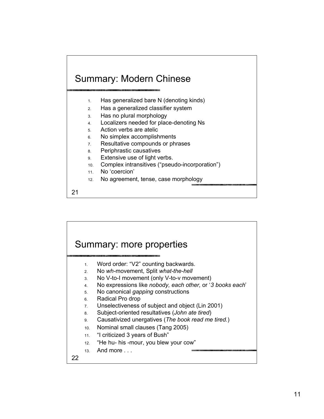### Summary: Modern Chinese

- 1. Has generalized bare N (denoting kinds)
- 2. Has a generalized classifier system
- 3. Has no plural morphology
- 4. Localizers needed for place-denoting Ns
- 5. Action verbs are atelic
- 6. No simplex accomplishments
- 7. Resultative compounds or phrases
- 8. Periphrastic causatives
- 9. Extensive use of light verbs.
- 10. Complex intransitives ("pseudo-incorporation")
- 11. No 'coercion'
- 12. No agreement, tense, case morphology

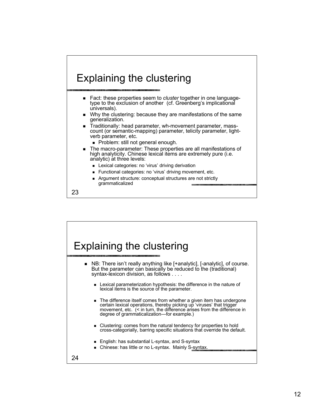# Explaining the clustering

- Fact: these properties seem to *cluster* together in one language- type to the exclusion of another (cf. Greenberg's implicational universals).
- Why the clustering: because they are manifestations of the same generalization.
- Traditionally: head parameter, wh-movement parameter, mass- count (or semantic-mapping) parameter, telicity parameter, light- verb parameter, etc.
	- Problem: still not general enough.
- The macro-parameter: These properties are all manifestations of high analyticity. Chinese lexical items are extremely pure (i.e. analytic) at three levels:
	- **Lexical categories: no 'virus' driving derivation**
	- Functional categories: no 'virus' driving movement, etc.
	- Argument structure: conceptual structures are not strictly grammaticalized

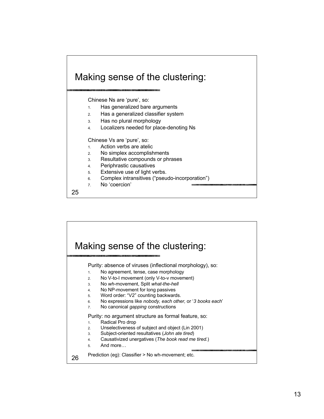

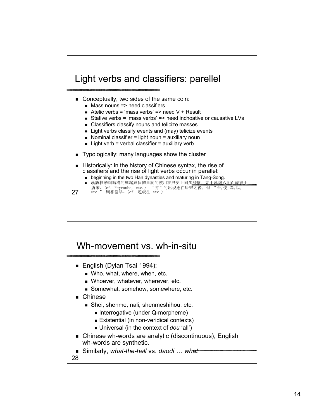

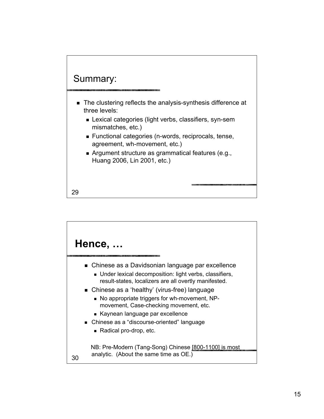

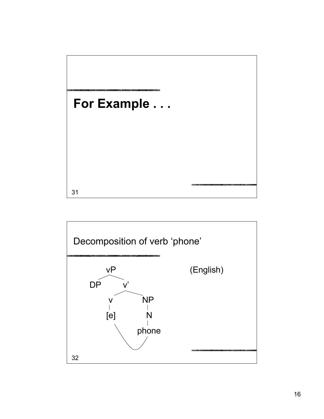

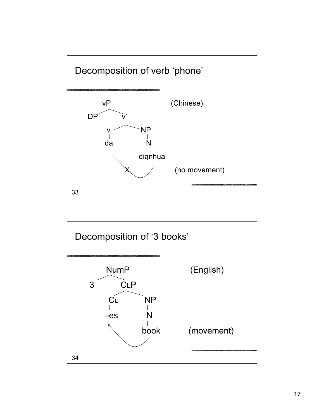

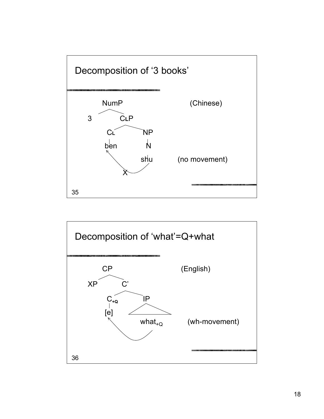